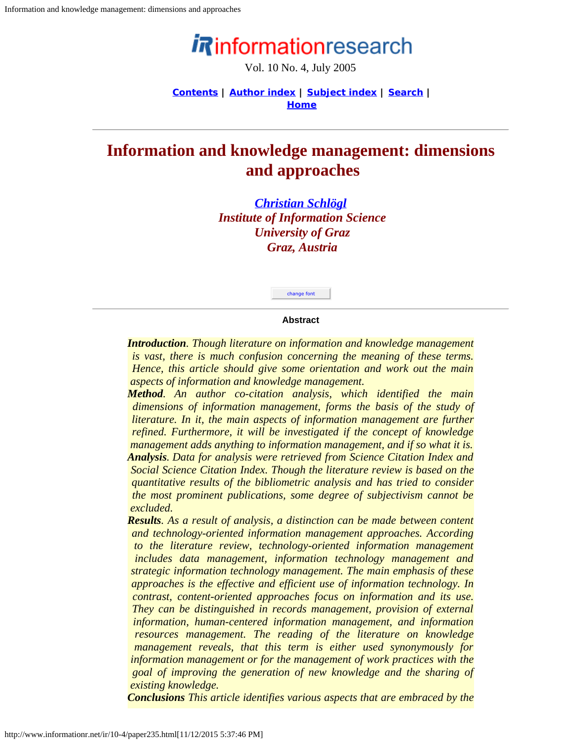# informationresearch

Vol. 10 No. 4, July 2005

**[Contents](http://www.informationr.net/ir/10-4/infres104.html) | [Author index](http://www.informationr.net/ir/iraindex.html) | [Subject index](http://www.informationr.net/ir/irsindex.html) | [Search](http://www.informationr.net/ir/search.html) | [Home](http://www.informationr.net/ir/index.html)**

## <span id="page-0-0"></span>**Information and knowledge management: dimensions and approaches**

*[Christian Schlögl](mailto:christian.schloegl@uni-graz.at) Institute of Information Science University of Graz Graz, Austria*



#### **Abstract**

*Introduction. Though literature on information and knowledge management is vast, there is much confusion concerning the meaning of these terms. Hence, this article should give some orientation and work out the main aspects of information and knowledge management.*

*Method. An author co-citation analysis, which identified the main dimensions of information management, forms the basis of the study of literature. In it, the main aspects of information management are further refined. Furthermore, it will be investigated if the concept of knowledge management adds anything to information management, and if so what it is. Analysis. Data for analysis were retrieved from Science Citation Index and Social Science Citation Index. Though the literature review is based on the quantitative results of the bibliometric analysis and has tried to consider the most prominent publications, some degree of subjectivism cannot be excluded.*

*Results. As a result of analysis, a distinction can be made between content and technology-oriented information management approaches. According to the literature review, technology-oriented information management includes data management, information technology management and strategic information technology management. The main emphasis of these approaches is the effective and efficient use of information technology. In contrast, content-oriented approaches focus on information and its use. They can be distinguished in records management, provision of external information, human-centered information management, and information resources management. The reading of the literature on knowledge management reveals, that this term is either used synonymously for information management or for the management of work practices with the goal of improving the generation of new knowledge and the sharing of existing knowledge.*

*Conclusions This article identifies various aspects that are embraced by the*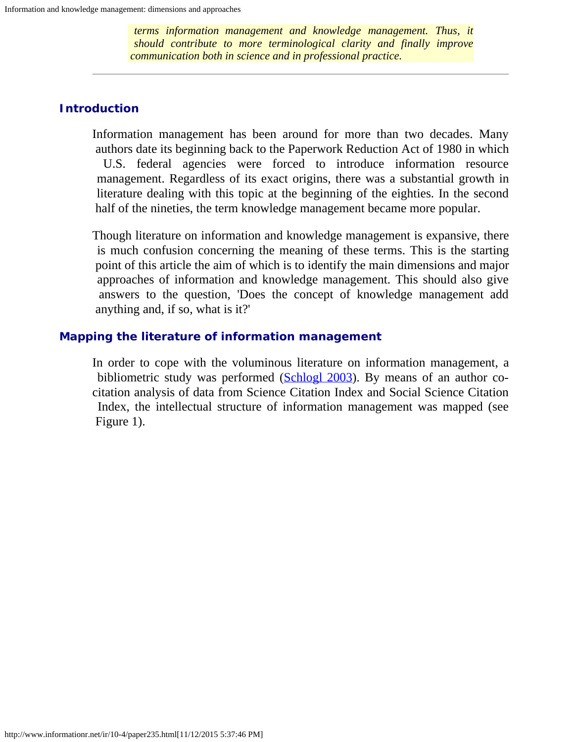*terms information management and knowledge management. Thus, it should contribute to more terminological clarity and finally improve communication both in science and in professional practice.*

## **Introduction**

Information management has been around for more than two decades. Many authors date its beginning back to the Paperwork Reduction Act of 1980 in which U.S. federal agencies were forced to introduce information resource management. Regardless of its exact origins, there was a substantial growth in literature dealing with this topic at the beginning of the eighties. In the second half of the nineties, the term knowledge management became more popular.

Though literature on information and knowledge management is expansive, there is much confusion concerning the meaning of these terms. This is the starting point of this article the aim of which is to identify the main dimensions and major approaches of information and knowledge management. This should also give answers to the question, 'Does the concept of knowledge management add anything and, if so, what is it?'

## **Mapping the literature of information management**

In order to cope with the voluminous literature on information management, a bibliometric study was performed ([Schlogl 2003\)](#page-15-0). By means of an author cocitation analysis of data from Science Citation Index and Social Science Citation Index, the intellectual structure of information management was mapped (see Figure 1).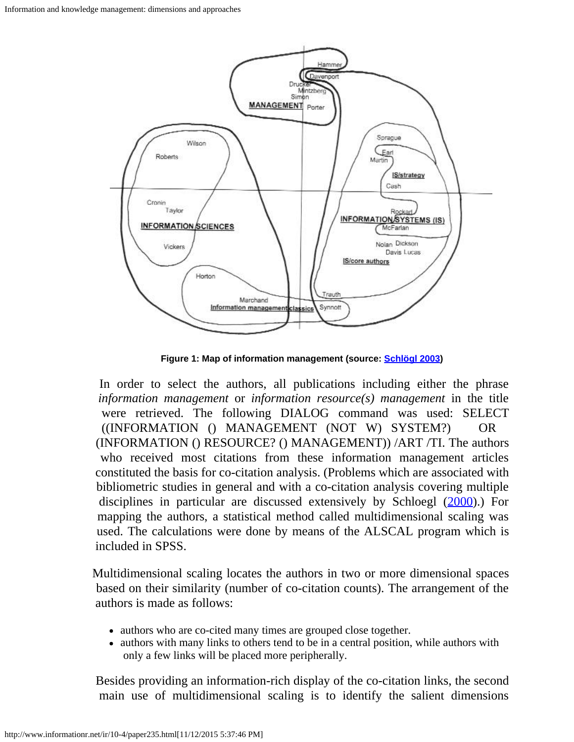

 **Figure 1: Map of information management (source: [Schlögl 2003](#page-15-0))**

 In order to select the authors, all publications including either the phrase *information management* or *information resource(s) management* in the title were retrieved. The following DIALOG command was used: SELECT ((INFORMATION () MANAGEMENT (NOT W) SYSTEM?) OR (INFORMATION () RESOURCE? () MANAGEMENT)) /ART /TI. The authors who received most citations from these information management articles constituted the basis for co-citation analysis. (Problems which are associated with bibliometric studies in general and with a co-citation analysis covering multiple disciplines in particular are discussed extensively by Schloegl [\(2000](#page-14-0)).) For mapping the authors, a statistical method called multidimensional scaling was used. The calculations were done by means of the ALSCAL program which is included in SPSS.

Multidimensional scaling locates the authors in two or more dimensional spaces based on their similarity (number of co-citation counts). The arrangement of the authors is made as follows:

- authors who are co-cited many times are grouped close together.
- authors with many links to others tend to be in a central position, while authors with only a few links will be placed more peripherally.

 Besides providing an information-rich display of the co-citation links, the second main use of multidimensional scaling is to identify the salient dimensions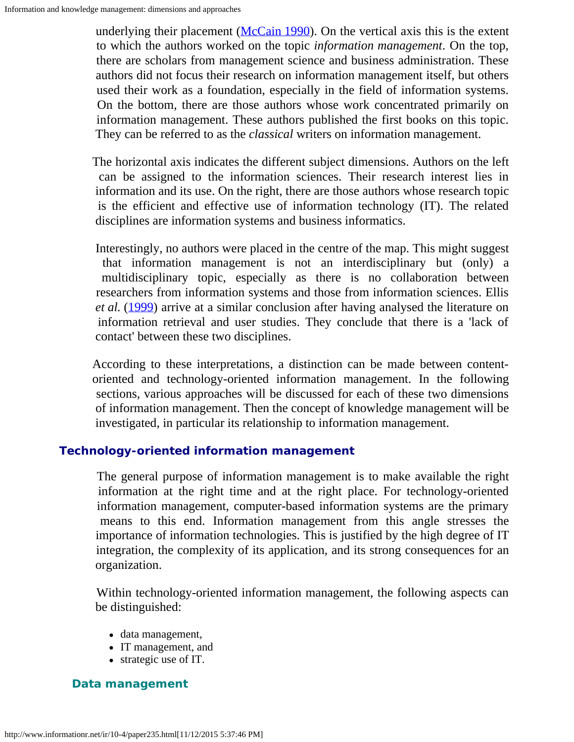underlying their placement ( $McCain 1990$ ). On the vertical axis this is the extent to which the authors worked on the topic *information management*. On the top, there are scholars from management science and business administration. These authors did not focus their research on information management itself, but others used their work as a foundation, especially in the field of information systems. On the bottom, there are those authors whose work concentrated primarily on information management. These authors published the first books on this topic. They can be referred to as the *classical* writers on information management.

The horizontal axis indicates the different subject dimensions. Authors on the left can be assigned to the information sciences. Their research interest lies in information and its use. On the right, there are those authors whose research topic is the efficient and effective use of information technology (IT). The related disciplines are information systems and business informatics.

 Interestingly, no authors were placed in the centre of the map. This might suggest that information management is not an interdisciplinary but (only) a multidisciplinary topic, especially as there is no collaboration between researchers from information systems and those from information sciences. Ellis *et al.* [\(1999](#page-12-0)) arrive at a similar conclusion after having analysed the literature on information retrieval and user studies. They conclude that there is a 'lack of contact' between these two disciplines.

According to these interpretations, a distinction can be made between contentoriented and technology-oriented information management. In the following sections, various approaches will be discussed for each of these two dimensions of information management. Then the concept of knowledge management will be investigated, in particular its relationship to information management.

## **Technology-oriented information management**

 The general purpose of information management is to make available the right information at the right time and at the right place. For technology-oriented information management, computer-based information systems are the primary means to this end. Information management from this angle stresses the importance of information technologies. This is justified by the high degree of IT integration, the complexity of its application, and its strong consequences for an organization.

 Within technology-oriented information management, the following aspects can be distinguished:

- data management,
- IT management, and
- strategic use of IT.

## **Data management**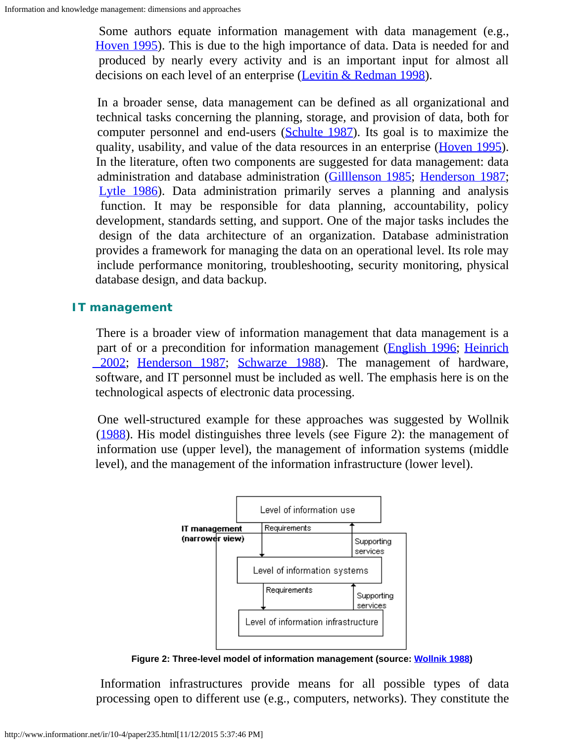Some authors equate information management with data management (e.g., [Hoven 1995](#page-13-0)). This is due to the high importance of data. Data is needed for and produced by nearly every activity and is an important input for almost all decisions on each level of an enterprise [\(Levitin & Redman](#page-13-1) 1998).

 In a broader sense, data management can be defined as all organizational and technical tasks concerning the planning, storage, and provision of data, both for computer personnel and end-users [\(Schulte 1987](#page-15-1)). Its goal is to maximize the quality, usability, and value of the data resources in an enterprise [\(Hoven 1995](#page-13-0)). In the literature, often two components are suggested for data management: data administration and database administration ([Gilllenson 1985;](#page-13-2) [Henderson 1987](#page-13-3); [Lytle 1986](#page-13-4)). Data administration primarily serves a planning and analysis function. It may be responsible for data planning, accountability, policy development, standards setting, and support. One of the major tasks includes the design of the data architecture of an organization. Database administration provides a framework for managing the data on an operational level. Its role may include performance monitoring, troubleshooting, security monitoring, physical database design, and data backup.

## **IT management**

There is a broader view of information management that data management is a part of or a precondition for information management ([English 1996;](#page-12-1) [Heinrich](#page-13-5) 2002; [Henderson 1987;](#page-13-3) [Schwarze 1988](#page-15-2)). The management of hardware, software, and IT personnel must be included as well. The emphasis here is on the technological aspects of electronic data processing.

One well-structured example for these approaches was suggested by Wollnik [\(1988](#page-15-3)). His model distinguishes three levels (see Figure 2): the management of information use (upper level), the management of information systems (middle level), and the management of the information infrastructure (lower level).



 **Figure 2: Three-level model of information management (source: [Wollnik 1988](#page-15-3))**

Information infrastructures provide means for all possible types of data processing open to different use (e.g., computers, networks). They constitute the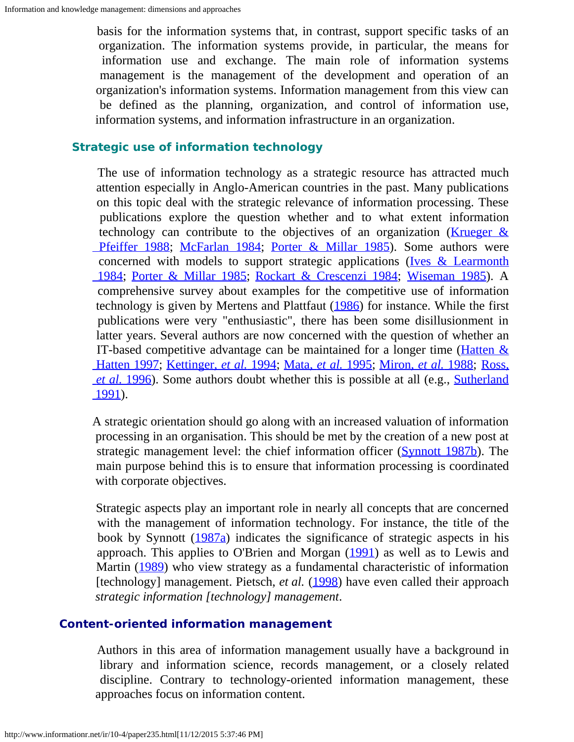basis for the information systems that, in contrast, support specific tasks of an organization. The information systems provide, in particular, the means for information use and exchange. The main role of information systems management is the management of the development and operation of an organization's information systems. Information management from this view can be defined as the planning, organization, and control of information use, information systems, and information infrastructure in an organization.

#### **Strategic use of information technology**

 The use of information technology as a strategic resource has attracted much attention especially in Anglo-American countries in the past. Many publications on this topic deal with the strategic relevance of information processing. These publications explore the question whether and to what extent information technology can contribute to the objectives of an organization (Krueger  $\&$ Pfeiffer 1988; [McFarlan 1984](#page-14-2); [Porter & Millar 1985](#page-14-3)). Some authors were concerned with models to support strategic applications ( $Ives & Learning$  [1984](#page-13-7); [Porter & Millar 1985](#page-14-3); [Rockart & Crescenzi 1984](#page-14-4); [Wiseman 1985](#page-15-4)). A comprehensive survey about examples for the competitive use of information technology is given by Mertens and Plattfaut [\(1986](#page-14-5)) for instance. While the first publications were very "enthusiastic", there has been some disillusionment in latter years. Several authors are now concerned with the question of whether an IT-based competitive advantage can be maintained for a longer time (**Hatten**  $\&$  [Hatten 1997;](#page-13-8) [Kettinger,](#page-13-9) *[et al.](#page-13-9)* [1994;](#page-13-9) [Mata,](#page-13-10) *[et al.](#page-13-10)* [1995;](#page-13-10) [Miron,](#page-14-6) *[et al.](#page-14-6)* [1988;](#page-14-6) [Ross,](#page-14-7) *[et al.](#page-14-7)* [1996](#page-14-7)). Some authors doubt whether this is possible at all (e.g., [Sutherland](#page-15-5)  [1991\)](#page-15-5).

A strategic orientation should go along with an increased valuation of information processing in an organisation. This should be met by the creation of a new post at strategic management level: the chief information officer [\(Synnott 1987b](#page-15-6)). The main purpose behind this is to ensure that information processing is coordinated with corporate objectives.

 Strategic aspects play an important role in nearly all concepts that are concerned with the management of information technology. For instance, the title of the book by Synnott  $(1987a)$  $(1987a)$  indicates the significance of strategic aspects in his approach. This applies to O'Brien and Morgan [\(1991](#page-14-8)) as well as to Lewis and Martin [\(1989](#page-13-11)) who view strategy as a fundamental characteristic of information [technology] management. Pietsch, *et al.* [\(1998](#page-14-9)) have even called their approach *strategic information [technology] management*.

## **Content-oriented information management**

 Authors in this area of information management usually have a background in library and information science, records management, or a closely related discipline. Contrary to technology-oriented information management, these approaches focus on information content.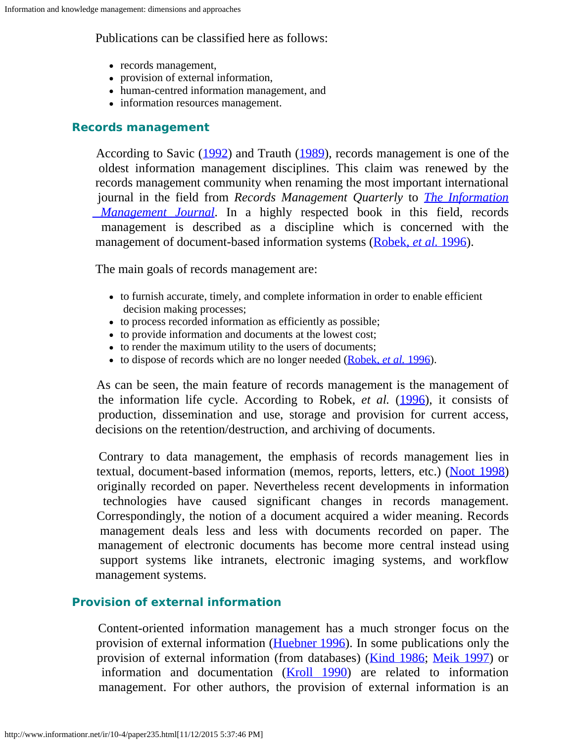## Publications can be classified here as follows:

- records management,
- provision of external information,
- human-centred information management, and
- information resources management.

## **Records management**

According to Savic [\(1992](#page-14-10)) and Trauth [\(1989](#page-15-8)), records management is one of the oldest information management disciplines. This claim was renewed by the records management community when renaming the most important international journal in the field from *Records Management Quarterly* to *[The Information](http://www.arma.org/imj/index.cfm)  [Management Journal](http://www.arma.org/imj/index.cfm)*. In a highly respected book in this field, records management is described as a discipline which is concerned with the management of document-based information systems [\(Robek,](#page-14-11) *[et al.](#page-14-11)* [1996](#page-14-11)).

The main goals of records management are:

- to furnish accurate, timely, and complete information in order to enable efficient decision making processes;
- to process recorded information as efficiently as possible;
- to provide information and documents at the lowest cost;
- to render the maximum utility to the users of documents;
- to dispose of records which are no longer needed ([Robek,](#page-14-11) *[et al.](#page-14-11)* [1996](#page-14-11)).

 As can be seen, the main feature of records management is the management of the information life cycle. According to Robek, *et al.* [\(1996](#page-14-11)), it consists of production, dissemination and use, storage and provision for current access, decisions on the retention/destruction, and archiving of documents.

 Contrary to data management, the emphasis of records management lies in textual, document-based information (memos, reports, letters, etc.) ([Noot 1998\)](#page-14-12) originally recorded on paper. Nevertheless recent developments in information technologies have caused significant changes in records management. Correspondingly, the notion of a document acquired a wider meaning. Records management deals less and less with documents recorded on paper. The management of electronic documents has become more central instead using support systems like intranets, electronic imaging systems, and workflow management systems.

## **Provision of external information**

 Content-oriented information management has a much stronger focus on the provision of external information [\(Huebner 1996](#page-13-12)). In some publications only the provision of external information (from databases) [\(Kind 1986](#page-13-13); [Meik 1997](#page-14-13)) or information and documentation [\(Kroll 1990](#page-13-14)) are related to information management. For other authors, the provision of external information is an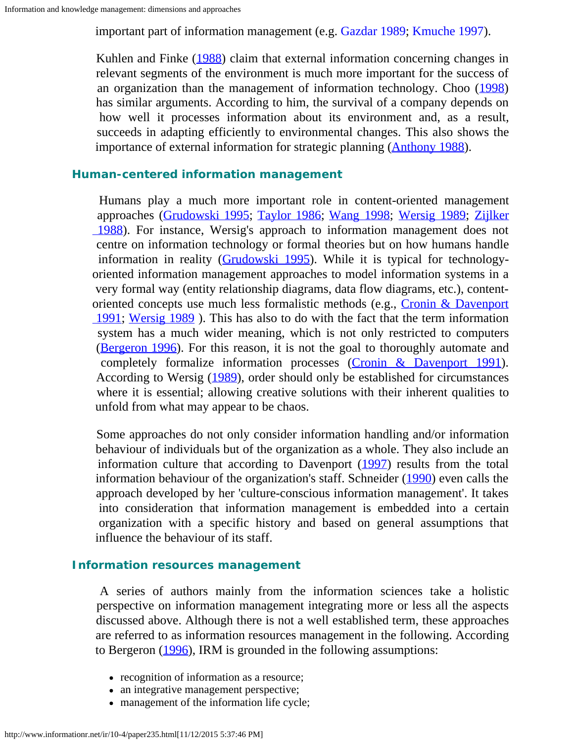important part of information management (e.g. [Gazdar 1989](#page-13-15); [Kmuche 1997](#page-13-16)).

Kuhlen and Finke [\(1988](#page-13-17)) claim that external information concerning changes in relevant segments of the environment is much more important for the success of an organization than the management of information technology. Choo [\(1998](#page-12-2)) has similar arguments. According to him, the survival of a company depends on how well it processes information about its environment and, as a result, succeeds in adapting efficiently to environmental changes. This also shows the importance of external information for strategic planning (**Anthony 1988**).

## **Human-centered information management**

 Humans play a much more important role in content-oriented management approaches [\(Grudowski 1995](#page-13-18); [Taylor 1986](#page-15-9); [Wang 1998](#page-15-10); [Wersig 1989](#page-15-11); [Zijlker](#page-15-12)  [1988](#page-15-12)). For instance, Wersig's approach to information management does not centre on information technology or formal theories but on how humans handle information in reality [\(Grudowski 1995](#page-13-18)). While it is typical for technologyoriented information management approaches to model information systems in a very formal way (entity relationship diagrams, data flow diagrams, etc.), contentoriented concepts use much less formalistic methods (e.g., [Cronin & Davenport](#page-12-3) 1991; Wersig 1989). This has also to do with the fact that the term information system has a much wider meaning, which is not only restricted to computers [\(Bergeron 1996](#page-12-4)). For this reason, it is not the goal to thoroughly automate and completely formalize information processes [\(Cronin & Davenport 1991](#page-12-3)). According to Wersig [\(1989](#page-15-11)), order should only be established for circumstances where it is essential; allowing creative solutions with their inherent qualities to unfold from what may appear to be chaos.

 Some approaches do not only consider information handling and/or information behaviour of individuals but of the organization as a whole. They also include an information culture that according to Davenport [\(1997](#page-12-5)) results from the total information behaviour of the organization's staff. Schneider [\(1990](#page-15-13)) even calls the approach developed by her 'culture-conscious information management'. It takes into consideration that information management is embedded into a certain organization with a specific history and based on general assumptions that influence the behaviour of its staff.

## **Information resources management**

 A series of authors mainly from the information sciences take a holistic perspective on information management integrating more or less all the aspects discussed above. Although there is not a well established term, these approaches are referred to as information resources management in the following. According to Bergeron ([1996\)](#page-12-4), IRM is grounded in the following assumptions:

- recognition of information as a resource;
- an integrative management perspective;
- management of the information life cycle;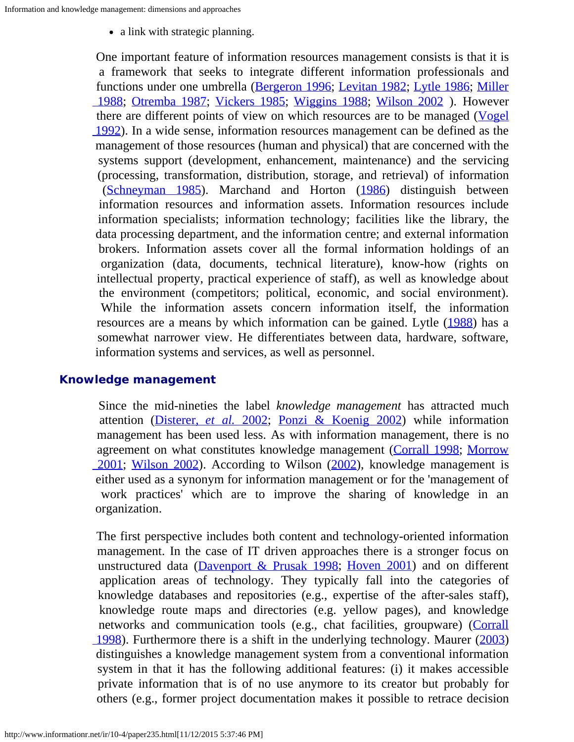• a link with strategic planning.

 One important feature of information resources management consists is that it is a framework that seeks to integrate different information professionals and functions under one umbrella [\(Bergeron 1996](#page-12-4); [Levitan 1982](#page-13-19); [Lytle 1986](#page-13-4); [Miller](#page-14-14)  [1988](#page-14-14); [Otremba 1987;](#page-14-15) [Vickers 1985](#page-15-14); [Wiggins 1988](#page-15-15); [Wilson 2002](#page-15-16) ). However there are different points of view on which resources are to be managed [\(Vogel](#page-15-17)  [1992\)](#page-15-17). In a wide sense, information resources management can be defined as the management of those resources (human and physical) that are concerned with the systems support (development, enhancement, maintenance) and the servicing (processing, transformation, distribution, storage, and retrieval) of information ([Schneyman 1985\)](#page-15-18). Marchand and Horton [\(1986](#page-13-20)) distinguish between information resources and information assets. Information resources include information specialists; information technology; facilities like the library, the data processing department, and the information centre; and external information brokers. Information assets cover all the formal information holdings of an organization (data, documents, technical literature), know-how (rights on intellectual property, practical experience of staff), as well as knowledge about the environment (competitors; political, economic, and social environment). While the information assets concern information itself, the information resources are a means by which information can be gained. Lytle [\(1988](#page-13-21)) has a somewhat narrower view. He differentiates between data, hardware, software, information systems and services, as well as personnel.

## **Knowledge management**

 Since the mid-nineties the label *knowledge management* has attracted much attention [\(Disterer,](#page-12-6) *[et al.](#page-12-6)* [2002](#page-12-6); [Ponzi & Koenig 2002](#page-14-16)) while information management has been used less. As with information management, there is no agreement on what constitutes knowledge management ([Corrall 1998;](#page-12-7) [Morrow](#page-14-17)  [2001](#page-14-17); [Wilson 2002](#page-15-19)). According to Wilson [\(2002](#page-15-19)), knowledge management is either used as a synonym for information management or for the 'management of work practices' which are to improve the sharing of knowledge in an organization.

 The first perspective includes both content and technology-oriented information management. In the case of IT driven approaches there is a stronger focus on unstructured data (Davenport  $& Prusak$  1998; [Hoven 2001](#page-13-22)) and on different application areas of technology. They typically fall into the categories of knowledge databases and repositories (e.g., expertise of the after-sales staff), knowledge route maps and directories (e.g. yellow pages), and knowledge networks and communication tools (e.g., chat facilities, groupware) [\(Corrall](#page-12-7)  [1998\)](#page-12-7). Furthermore there is a shift in the underlying technology. Maurer [\(2003](#page-13-23)) distinguishes a knowledge management system from a conventional information system in that it has the following additional features: (i) it makes accessible private information that is of no use anymore to its creator but probably for others (e.g., former project documentation makes it possible to retrace decision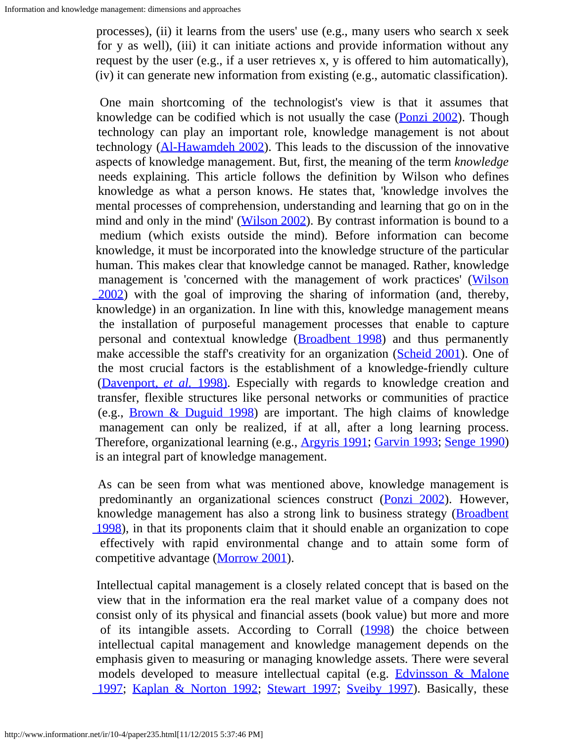processes), (ii) it learns from the users' use (e.g., many users who search x seek for y as well), (iii) it can initiate actions and provide information without any request by the user (e.g., if a user retrieves x, y is offered to him automatically), (iv) it can generate new information from existing (e.g., automatic classification).

 One main shortcoming of the technologist's view is that it assumes that knowledge can be codified which is not usually the case ([Ponzi 2002](#page-14-18)). Though technology can play an important role, knowledge management is not about technology  $(A1-Hawamdeh 2002)$ . This leads to the discussion of the innovative aspects of knowledge management. But, first, the meaning of the term *knowledge* needs explaining. This article follows the definition by Wilson who defines knowledge as what a person knows. He states that, 'knowledge involves the mental processes of comprehension, understanding and learning that go on in the mind and only in the mind' [\(Wilson 2002](#page-15-19)). By contrast information is bound to a medium (which exists outside the mind). Before information can become knowledge, it must be incorporated into the knowledge structure of the particular human. This makes clear that knowledge cannot be managed. Rather, knowledge management is 'concerned with the management of work practices' ([Wilson](#page-15-19)  [2002\)](#page-15-19) with the goal of improving the sharing of information (and, thereby, knowledge) in an organization. In line with this, knowledge management means the installation of purposeful management processes that enable to capture personal and contextual knowledge ([Broadbent 1998](#page-12-10)) and thus permanently make accessible the staff's creativity for an organization [\(Scheid 2001](#page-14-19)). One of the most crucial factors is the establishment of a knowledge-friendly culture [\(Davenport,](#page-12-11) *[et al.](#page-12-11)* [1998\)](#page-12-11). Especially with regards to knowledge creation and transfer, flexible structures like personal networks or communities of practice (e.g., [Brown & Duguid 1998\)](#page-12-12) are important. The high claims of knowledge management can only be realized, if at all, after a long learning process. Therefore, organizational learning (e.g., [Argyris 1991](#page-12-13); [Garvin 1993](#page-13-24); [Senge 1990](#page-15-20)) is an integral part of knowledge management.

 As can be seen from what was mentioned above, knowledge management is predominantly an organizational sciences construct [\(Ponzi 2002](#page-14-18)). However, knowledge management has also a strong link to business strategy (**Broadbent**) 1998), in that its proponents claim that it should enable an organization to cope effectively with rapid environmental change and to attain some form of competitive advantage [\(Morrow 2001](#page-14-17)).

 Intellectual capital management is a closely related concept that is based on the view that in the information era the real market value of a company does not consist only of its physical and financial assets (book value) but more and more of its intangible assets. According to Corrall [\(1998](#page-12-7)) the choice between intellectual capital management and knowledge management depends on the emphasis given to measuring or managing knowledge assets. There were several models developed to measure intellectual capital (e.g. **[Edvinsson & Malone](#page-12-14)** 1997; Kaplan & Norton 1992; Stewart [1997](#page-12-14); [Sveiby 1997](#page-15-22)). Basically, these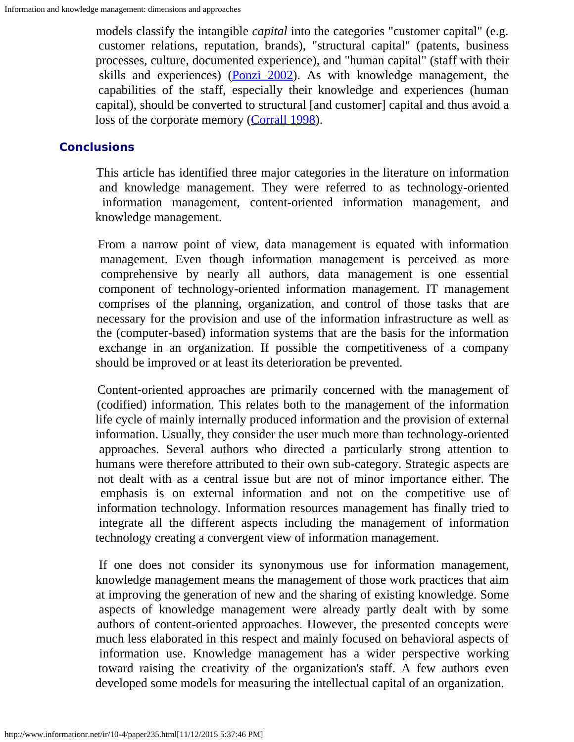models classify the intangible *capital* into the categories "customer capital" (e.g. customer relations, reputation, brands), "structural capital" (patents, business processes, culture, documented experience), and "human capital" (staff with their skills and experiences) ( $\frac{Ponzi}{2002}$ ). As with knowledge management, the capabilities of the staff, especially their knowledge and experiences (human capital), should be converted to structural [and customer] capital and thus avoid a loss of the corporate memory [\(Corrall 1998](#page-12-7)).

## **Conclusions**

 This article has identified three major categories in the literature on information and knowledge management. They were referred to as technology-oriented information management, content-oriented information management, and knowledge management.

 From a narrow point of view, data management is equated with information management. Even though information management is perceived as more comprehensive by nearly all authors, data management is one essential component of technology-oriented information management. IT management comprises of the planning, organization, and control of those tasks that are necessary for the provision and use of the information infrastructure as well as the (computer-based) information systems that are the basis for the information exchange in an organization. If possible the competitiveness of a company should be improved or at least its deterioration be prevented.

 Content-oriented approaches are primarily concerned with the management of (codified) information. This relates both to the management of the information life cycle of mainly internally produced information and the provision of external information. Usually, they consider the user much more than technology-oriented approaches. Several authors who directed a particularly strong attention to humans were therefore attributed to their own sub-category. Strategic aspects are not dealt with as a central issue but are not of minor importance either. The emphasis is on external information and not on the competitive use of information technology. Information resources management has finally tried to integrate all the different aspects including the management of information technology creating a convergent view of information management.

 If one does not consider its synonymous use for information management, knowledge management means the management of those work practices that aim at improving the generation of new and the sharing of existing knowledge. Some aspects of knowledge management were already partly dealt with by some authors of content-oriented approaches. However, the presented concepts were much less elaborated in this respect and mainly focused on behavioral aspects of information use. Knowledge management has a wider perspective working toward raising the creativity of the organization's staff. A few authors even developed some models for measuring the intellectual capital of an organization.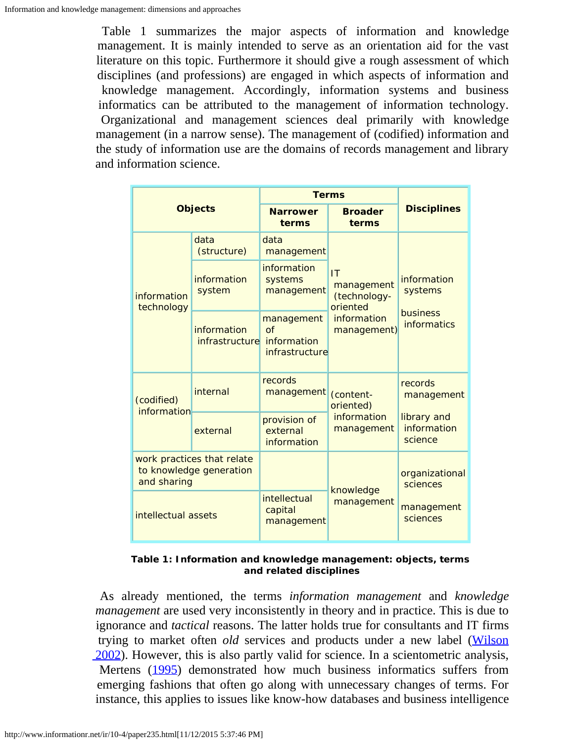Table 1 summarizes the major aspects of information and knowledge management. It is mainly intended to serve as an orientation aid for the vast literature on this topic. Furthermore it should give a rough assessment of which disciplines (and professions) are engaged in which aspects of information and knowledge management. Accordingly, information systems and business informatics can be attributed to the management of information technology. Organizational and management sciences deal primarily with knowledge management (in a narrow sense). The management of (codified) information and the study of information use are the domains of records management and library and information science.

| <b>Objects</b>                                                       |                                      | <b>Terms</b>                                            |                                                                            |                                                          |
|----------------------------------------------------------------------|--------------------------------------|---------------------------------------------------------|----------------------------------------------------------------------------|----------------------------------------------------------|
|                                                                      |                                      | <b>Narrower</b><br>terms                                | <b>Broader</b><br>terms                                                    | <b>Disciplines</b>                                       |
| information<br>technology                                            | data<br>(structure)                  | data<br>management                                      | IT<br>management<br>(technology-<br>oriented<br>information<br>management) | information<br>systems<br>business<br><b>informatics</b> |
|                                                                      | information<br>system                | information<br>systems<br>management                    |                                                                            |                                                          |
|                                                                      | information<br><i>infrastructure</i> | management<br>$\Omega$<br>information<br>infrastructure |                                                                            |                                                          |
| (codified)<br>information                                            | internal                             | records<br>management                                   | (content-<br>oriented)<br>information<br>management                        | records<br>management                                    |
|                                                                      | external                             | provision of<br>external<br>information                 |                                                                            | library and<br>information<br>science                    |
| work practices that relate<br>to knowledge generation<br>and sharing |                                      |                                                         | knowledge<br>management                                                    | organizational<br>sciences                               |
| intellectual assets                                                  |                                      | intellectual<br>capital<br>management                   |                                                                            | management<br>sciences                                   |

**Table 1: Information and knowledge management: objects, terms and related disciplines**

 As already mentioned, the terms *information management* and *knowledge management* are used very inconsistently in theory and in practice. This is due to ignorance and *tactical* reasons. The latter holds true for consultants and IT firms trying to market often *old* services and products under a new label ([Wilson](#page-15-19)  [2002\)](#page-15-19). However, this is also partly valid for science. In a scientometric analysis, Mertens [\(1995](#page-14-20)) demonstrated how much business informatics suffers from emerging fashions that often go along with unnecessary changes of terms. For instance, this applies to issues like know-how databases and business intelligence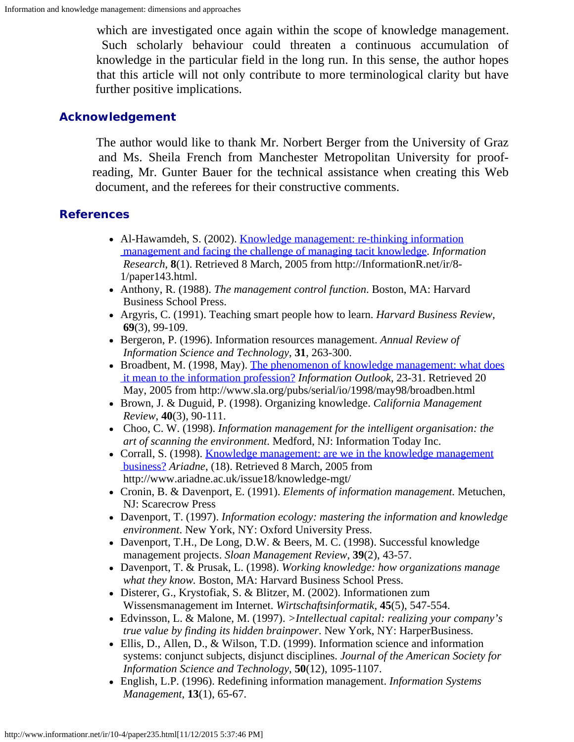which are investigated once again within the scope of knowledge management. Such scholarly behaviour could threaten a continuous accumulation of knowledge in the particular field in the long run. In this sense, the author hopes that this article will not only contribute to more terminological clarity but have further positive implications.

## **Acknowledgement**

The author would like to thank Mr. Norbert Berger from the University of Graz and Ms. Sheila French from Manchester Metropolitan University for proofreading, Mr. Gunter Bauer for the technical assistance when creating this Web document, and the referees for their constructive comments.

## <span id="page-12-9"></span>**References**

- Al-Hawamdeh, S. (2002). [Knowledge management: re-thinking information](http://informationr.net/ir/8-1/paper143.html)  [management and facing the challenge of managing tacit knowledge](http://informationr.net/ir/8-1/paper143.html). *Information Research*, **8**(1). Retrieved 8 March, 2005 from http://InformationR.net/ir/8- 1/paper143.html.
- Anthony, R. (1988). *The management control function*. Boston, MA: Harvard Business School Press.
- <span id="page-12-13"></span>Argyris, C. (1991). Teaching smart people how to learn. *Harvard Business Review,* **69**(3), 99-109.
- <span id="page-12-4"></span>Bergeron, P. (1996). Information resources management. *Annual Review of Information Science and Technology*, **31**, 263-300.
- <span id="page-12-10"></span>• Broadbent, M. (1998, May). [The phenomenon of knowledge management: what does](http://www.sla.org/pubs/serial/io/1998/may98/broadben.html)  [it mean to the information profession?](http://www.sla.org/pubs/serial/io/1998/may98/broadben.html) *Information Outlook*, 23-31. Retrieved 20 May, 2005 from http://www.sla.org/pubs/serial/io/1998/may98/broadben.html
- <span id="page-12-12"></span>Brown, J. & Duguid, P. (1998). Organizing knowledge. *California Management Review*, **40**(3), 90-111.
- <span id="page-12-2"></span> Choo, C. W. (1998). *Information management for the intelligent organisation: the art of scanning the environment*. Medford, NJ: Information Today Inc.
- <span id="page-12-7"></span>• Corrall, S. (1998). [Knowledge management: are we in the knowledge management](http://www.ariadne.ac.uk/issue18/knowledge-mgt/)  [business?](http://www.ariadne.ac.uk/issue18/knowledge-mgt/) *Ariadne*, (18). Retrieved 8 March, 2005 from http://www.ariadne.ac.uk/issue18/knowledge-mgt/
- <span id="page-12-3"></span>Cronin, B. & Davenport, E. (1991). *Elements of information management.* Metuchen, NJ: Scarecrow Press
- <span id="page-12-5"></span>Davenport, T. (1997). *Information ecology: mastering the information and knowledge environment*. New York, NY: Oxford University Press.
- <span id="page-12-11"></span>Davenport, T.H., De Long, D.W. & Beers, M. C. (1998). Successful knowledge management projects. *Sloan Management Review*, **39**(2), 43-57.
- <span id="page-12-8"></span>Davenport, T. & Prusak, L. (1998). *Working knowledge: how organizations manage what they know.* Boston, MA: Harvard Business School Press.
- <span id="page-12-6"></span>Disterer, G., Krystofiak, S. & Blitzer, M. (2002). Informationen zum Wissensmanagement im Internet. *Wirtschaftsinformatik*, **45**(5), 547-554.
- <span id="page-12-14"></span>Edvinsson, L. & Malone, M. (1997). *>Intellectual capital: realizing your company's true value by finding its hidden brainpower*. New York, NY: HarperBusiness.
- <span id="page-12-0"></span>Ellis, D., Allen, D., & Wilson, T.D. (1999). Information science and information systems: conjunct subjects, disjunct disciplines. *Journal of the American Society for Information Science and Technology*, **50**(12), 1095-1107.
- <span id="page-12-1"></span>English, L.P. (1996). Redefining information management. *Information Systems Management*, **13**(1), 65-67.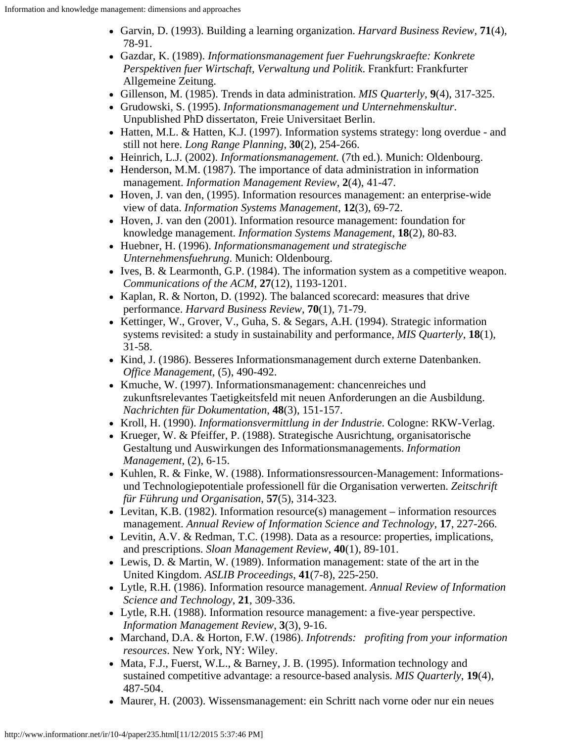- <span id="page-13-24"></span>Garvin, D. (1993). Building a learning organization. *Harvard Business Review*, **71**(4), 78-91.
- <span id="page-13-15"></span>Gazdar, K. (1989). *Informationsmanagement fuer Fuehrungskraefte: Konkrete Perspektiven fuer Wirtschaft, Verwaltung und Politik*. Frankfurt: Frankfurter Allgemeine Zeitung.
- <span id="page-13-2"></span>Gillenson, M. (1985). Trends in data administration. *MIS Quarterly*, **9**(4), 317-325.
- <span id="page-13-18"></span>Grudowski, S. (1995). *Informationsmanagement und Unternehmenskultur*. Unpublished PhD dissertaton, Freie Universitaet Berlin.
- <span id="page-13-8"></span>Hatten, M.L. & Hatten, K.J. (1997). Information systems strategy: long overdue - and still not here. *Long Range Planning*, **30**(2), 254-266.
- <span id="page-13-5"></span>Heinrich, L.J. (2002). *Informationsmanagement.* (7th ed.). Munich: Oldenbourg.
- <span id="page-13-3"></span>Henderson, M.M. (1987). The importance of data administration in information management. *Information Management Review*, **2**(4), 41-47.
- <span id="page-13-0"></span>Hoven, J. van den, (1995). Information resources management: an enterprise-wide view of data. *Information Systems Management*, **12**(3), 69-72.
- <span id="page-13-22"></span>• Hoven, J. van den (2001). Information resource management: foundation for knowledge management. *Information Systems Management*, **18**(2), 80-83.
- <span id="page-13-12"></span>Huebner, H. (1996). *Informationsmanagement und strategische Unternehmensfuehrung*. Munich: Oldenbourg.
- <span id="page-13-7"></span>Ives, B. & Learmonth, G.P.  $(1984)$ . The information system as a competitive weapon. *Communications of the ACM*, **27**(12), 1193-1201.
- <span id="page-13-25"></span>• Kaplan, R. & Norton, D. (1992). The balanced scorecard: measures that drive performance. *Harvard Business Review*, **70**(1), 71-79.
- <span id="page-13-9"></span>• Kettinger, W., Grover, V., Guha, S. & Segars, A.H. (1994). Strategic information systems revisited: a study in sustainability and performance, *MIS Quarterly*, **18**(1), 31-58.
- <span id="page-13-13"></span>• Kind, J. (1986). Besseres Informationsmanagement durch externe Datenbanken. *Office Management*, (5), 490-492.
- <span id="page-13-16"></span>• Kmuche, W. (1997). Informationsmanagement: chancenreiches und zukunftsrelevantes Taetigkeitsfeld mit neuen Anforderungen an die Ausbildung. *Nachrichten für Dokumentation*, **48**(3), 151-157.
- <span id="page-13-14"></span>Kroll, H. (1990). *Informationsvermittlung in der Industrie*. Cologne: RKW-Verlag.
- <span id="page-13-6"></span>• Krueger, W. & Pfeiffer, P. (1988). Strategische Ausrichtung, organisatorische Gestaltung und Auswirkungen des Informationsmanagements. *Information Management*, (2), 6-15.
- <span id="page-13-17"></span>• Kuhlen, R. & Finke, W. (1988). Informationsressourcen-Management: Informations und Technologiepotentiale professionell für die Organisation verwerten. *Zeitschrift für Führung und Organisation*, **57**(5), 314-323.
- <span id="page-13-19"></span>• Levitan, K.B. (1982). Information resource(s) management – information resources management. *Annual Review of Information Science and Technology*, **17**, 227-266.
- <span id="page-13-1"></span>Levitin, A.V. & Redman, T.C. (1998). Data as a resource: properties, implications, and prescriptions. *Sloan Management Review*, **40**(1), 89-101.
- <span id="page-13-11"></span>Lewis, D. & Martin, W. (1989). Information management: state of the art in the United Kingdom. *ASLIB Proceedings*, **41**(7-8), 225-250.
- <span id="page-13-4"></span>Lytle, R.H. (1986). Information resource management. *Annual Review of Information Science and Technology*, **21**, 309-336.
- <span id="page-13-21"></span>Lytle, R.H. (1988). Information resource management: a five-year perspective. *Information Management Review*, **3**(3), 9-16.
- <span id="page-13-20"></span>Marchand, D.A. & Horton, F.W. (1986). *Infotrends: profiting from your information resources*. New York, NY: Wiley.
- <span id="page-13-10"></span>• Mata, F.J., Fuerst, W.L., & Barney, J. B. (1995). Information technology and sustained competitive advantage: a resource-based analysis. *MIS Quarterly*, **19**(4), 487-504.
- <span id="page-13-23"></span>• Maurer, H. (2003). Wissensmanagement: ein Schritt nach vorne oder nur ein neues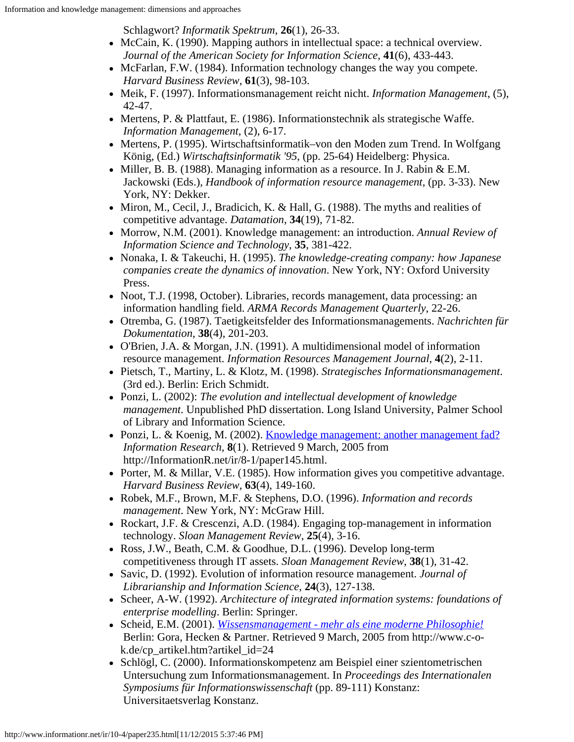Schlagwort? *Informatik Spektrum*, **26**(1), 26-33.

- <span id="page-14-1"></span>• McCain, K. (1990). Mapping authors in intellectual space: a technical overview. *Journal of the American Society for Information Science*, **41**(6), 433-443.
- <span id="page-14-2"></span>• McFarlan, F.W. (1984). Information technology changes the way you compete. *Harvard Business Review*, **61**(3), 98-103.
- <span id="page-14-13"></span>Meik, F. (1997). Informationsmanagement reicht nicht. *Information Management*, (5), 42-47.
- <span id="page-14-5"></span> $\bullet$  Mertens, P. & Plattfaut, E. (1986). Informationstechnik als strategische Waffe. *Information Management*, (2), 6-17.
- <span id="page-14-20"></span>• Mertens, P. (1995). Wirtschaftsinformatik–von den Moden zum Trend. In Wolfgang König, (Ed.) *Wirtschaftsinformatik '95*, (pp. 25-64) Heidelberg: Physica.
- <span id="page-14-14"></span>• Miller, B. B. (1988). Managing information as a resource. In J. Rabin & E.M. Jackowski (Eds.), *Handbook of information resource management*, (pp. 3-33). New York, NY: Dekker.
- <span id="page-14-6"></span> $\bullet$  Miron, M., Cecil, J., Bradicich, K. & Hall, G. (1988). The myths and realities of competitive advantage. *Datamation*, **34**(19), 71-82.
- <span id="page-14-17"></span>Morrow, N.M. (2001). Knowledge management: an introduction. *Annual Review of Information Science and Technology*, **35**, 381-422.
- Nonaka, I. & Takeuchi, H. (1995). *The knowledge-creating company: how Japanese companies create the dynamics of innovation*. New York, NY: Oxford University Press.
- <span id="page-14-12"></span>• Noot, T.J. (1998, October). Libraries, records management, data processing: an information handling field. *ARMA Records Management Quarterly*, 22-26.
- <span id="page-14-15"></span>Otremba, G. (1987). Taetigkeitsfelder des Informationsmanagements. *Nachrichten für Dokumentation*, **38**(4), 201-203.
- <span id="page-14-8"></span>O'Brien, J.A. & Morgan, J.N. (1991). A multidimensional model of information resource management. *Information Resources Management Journal*, **4**(2), 2-11.
- <span id="page-14-9"></span>Pietsch, T., Martiny, L. & Klotz, M. (1998). *Strategisches Informationsmanagement*. (3rd ed.). Berlin: Erich Schmidt.
- <span id="page-14-18"></span>Ponzi, L. (2002): *The evolution and intellectual development of knowledge management*. Unpublished PhD dissertation. Long Island University, Palmer School of Library and Information Science.
- <span id="page-14-16"></span>• Ponzi, L. & Koenig, M. (2002). [Knowledge management: another management fad?](http://informationr.net/ir/8-1/paper145.html) *Information Research*, **8**(1). Retrieved 9 March, 2005 from http://InformationR.net/ir/8-1/paper145.html.
- <span id="page-14-3"></span>• Porter, M. & Millar, V.E. (1985). How information gives you competitive advantage. *Harvard Business Review*, **63**(4), 149-160.
- <span id="page-14-11"></span>Robek, M.F., Brown, M.F. & Stephens, D.O. (1996). *Information and records management*. New York, NY: McGraw Hill.
- <span id="page-14-4"></span>Rockart, J.F. & Crescenzi, A.D. (1984). Engaging top-management in information technology. *Sloan Management Review*, **25**(4), 3-16.
- <span id="page-14-7"></span>Ross, J.W., Beath, C.M. & Goodhue, D.L. (1996). Develop long-term competitiveness through IT assets. *Sloan Management Review*, **38**(1), 31-42.
- <span id="page-14-10"></span>Savic, D. (1992). Evolution of information resource management. *Journal of Librarianship and Information Science*, **24**(3), 127-138.
- Scheer, A-W. (1992). *Architecture of integrated information systems: foundations of enterprise modelling*. Berlin: Springer.
- <span id="page-14-19"></span>Scheid, E.M. (2001). *[Wissensmanagement - mehr als eine moderne Philosophie!](http://www.c-o-k.de/cp_artikel.htm?artikel_id=24)* Berlin: Gora, Hecken & Partner. Retrieved 9 March, 2005 from http://www.c-ok.de/cp\_artikel.htm?artikel\_id=24
- <span id="page-14-0"></span>• Schlögl, C. (2000). Informationskompetenz am Beispiel einer szientometrischen Untersuchung zum Informationsmanagement. In *Proceedings des Internationalen Symposiums für Informationswissenschaft* (pp. 89-111) Konstanz: Universitaetsverlag Konstanz.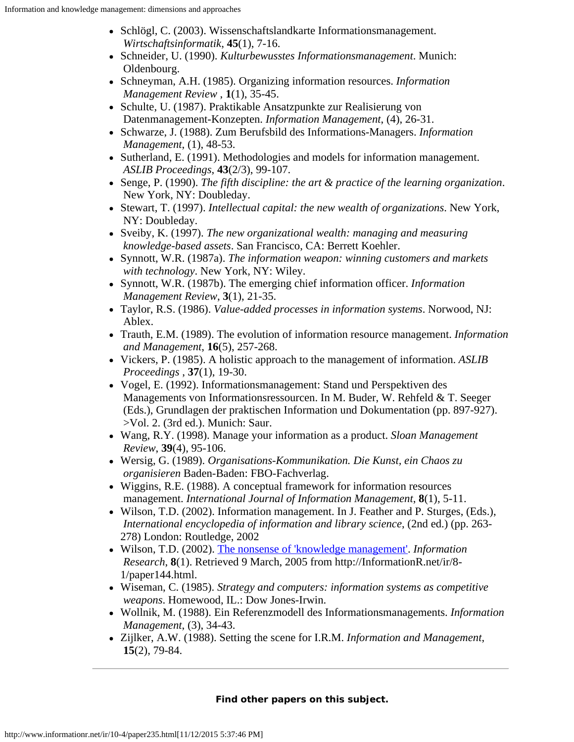- <span id="page-15-0"></span>• Schlögl, C. (2003). Wissenschaftslandkarte Informationsmanagement. *Wirtschaftsinformatik*, **45**(1), 7-16.
- <span id="page-15-13"></span>Schneider, U. (1990). *Kulturbewusstes Informationsmanagement*. Munich: Oldenbourg.
- <span id="page-15-18"></span>Schneyman, A.H. (1985). Organizing information resources. *Information Management Review* , **1**(1), 35-45.
- <span id="page-15-1"></span>• Schulte, U. (1987). Praktikable Ansatzpunkte zur Realisierung von Datenmanagement-Konzepten. *Information Management*, (4), 26-31.
- <span id="page-15-2"></span>Schwarze, J. (1988). Zum Berufsbild des Informations-Managers. *Information Management*, (1), 48-53.
- <span id="page-15-5"></span>• Sutherland, E. (1991). Methodologies and models for information management. *ASLIB Proceedings*, **43**(2/3), 99-107.
- <span id="page-15-20"></span>Senge, P. (1990). *The fifth discipline: the art & practice of the learning organization*. New York, NY: Doubleday.
- <span id="page-15-21"></span>Stewart, T. (1997). *Intellectual capital: the new wealth of organizations*. New York, NY: Doubleday.
- <span id="page-15-22"></span>Sveiby, K. (1997). *The new organizational wealth: managing and measuring knowledge-based assets*. San Francisco, CA: Berrett Koehler.
- <span id="page-15-7"></span>Synnott, W.R. (1987a). *The information weapon: winning customers and markets with technology*. New York, NY: Wiley.
- <span id="page-15-6"></span>Synnott, W.R. (1987b). The emerging chief information officer. *Information Management Review*, **3**(1), 21-35.
- <span id="page-15-9"></span>Taylor, R.S. (1986). *Value-added processes in information systems*. Norwood, NJ: Ablex.
- <span id="page-15-8"></span>Trauth, E.M. (1989). The evolution of information resource management. *Information and Management*, **16**(5), 257-268.
- <span id="page-15-14"></span>Vickers, P. (1985). A holistic approach to the management of information. *ASLIB Proceedings* , **37**(1), 19-30.
- <span id="page-15-17"></span>Vogel, E. (1992). Informationsmanagement: Stand und Perspektiven des Managements von Informationsressourcen. In M. Buder, W. Rehfeld & T. Seeger (Eds.), Grundlagen der praktischen Information und Dokumentation (pp. 897-927). >Vol. 2. (3rd ed.). Munich: Saur.
- <span id="page-15-10"></span>Wang, R.Y. (1998). Manage your information as a product. *Sloan Management Review*, **39**(4), 95-106.
- <span id="page-15-11"></span>Wersig, G. (1989). *Organisations-Kommunikation. Die Kunst, ein Chaos zu organisieren* Baden-Baden: FBO-Fachverlag.
- <span id="page-15-15"></span>Wiggins, R.E. (1988). A conceptual framework for information resources management. *International Journal of Information Management*, **8**(1), 5-11.
- <span id="page-15-16"></span>Wilson, T.D. (2002). Information management. In J. Feather and P. Sturges, (Eds.), *International encyclopedia of information and library science*, (2nd ed.) (pp. 263- 278) London: Routledge, 2002
- <span id="page-15-19"></span>Wilson, T.D. (2002). [The nonsense of 'knowledge management'](http://informationr.net/ir/8-1/paper144.html). *Information Research*, **8**(1). Retrieved 9 March, 2005 from http://InformationR.net/ir/8- 1/paper144.html.
- <span id="page-15-4"></span>Wiseman, C. (1985). *Strategy and computers: information systems as competitive weapons*. Homewood, IL.: Dow Jones-Irwin.
- <span id="page-15-3"></span>Wollnik, M. (1988). Ein Referenzmodell des Informationsmanagements. *Information Management*, (3), 34-43.
- <span id="page-15-12"></span>Zijlker, A.W. (1988). Setting the scene for I.R.M. *Information and Management*, **15**(2), 79-84.

## **Find other papers on this subject.**